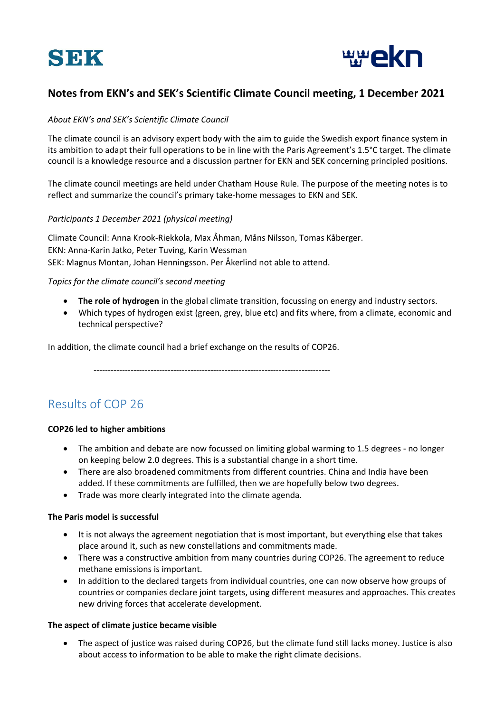



# **Notes from EKN's and SEK's Scientific Climate Council meeting, 1 December 2021**

#### *About EKN's and SEK's Scientific Climate Council*

The climate council is an advisory expert body with the aim to guide the Swedish export finance system in its ambition to adapt their full operations to be in line with the Paris Agreement's 1.5°C target. The climate council is a knowledge resource and a discussion partner for EKN and SEK concerning principled positions.

The climate council meetings are held under Chatham House Rule. The purpose of the meeting notes is to reflect and summarize the council's primary take-home messages to EKN and SEK.

#### *Participants 1 December 2021 (physical meeting)*

Climate Council: Anna Krook-Riekkola, Max Åhman, Måns Nilsson, Tomas Kåberger. EKN: Anna-Karin Jatko, Peter Tuving, Karin Wessman SEK: Magnus Montan, Johan Henningsson. Per Åkerlind not able to attend.

## *Topics for the climate council's second meeting*

- **The role of hydrogen** in the global climate transition, focussing on energy and industry sectors.
- Which types of hydrogen exist (green, grey, blue etc) and fits where, from a climate, economic and technical perspective?

In addition, the climate council had a brief exchange on the results of COP26.

 $-$ 

# Results of COP 26

#### **COP26 led to higher ambitions**

- The ambition and debate are now focussed on limiting global warming to 1.5 degrees no longer on keeping below 2.0 degrees. This is a substantial change in a short time.
- There are also broadened commitments from different countries. China and India have been added. If these commitments are fulfilled, then we are hopefully below two degrees.
- Trade was more clearly integrated into the climate agenda.

#### **The Paris model is successful**

- It is not always the agreement negotiation that is most important, but everything else that takes place around it, such as new constellations and commitments made.
- There was a constructive ambition from many countries during COP26. The agreement to reduce methane emissions is important.
- In addition to the declared targets from individual countries, one can now observe how groups of countries or companies declare joint targets, using different measures and approaches. This creates new driving forces that accelerate development.

#### **The aspect of climate justice became visible**

The aspect of justice was raised during COP26, but the climate fund still lacks money. Justice is also about access to information to be able to make the right climate decisions.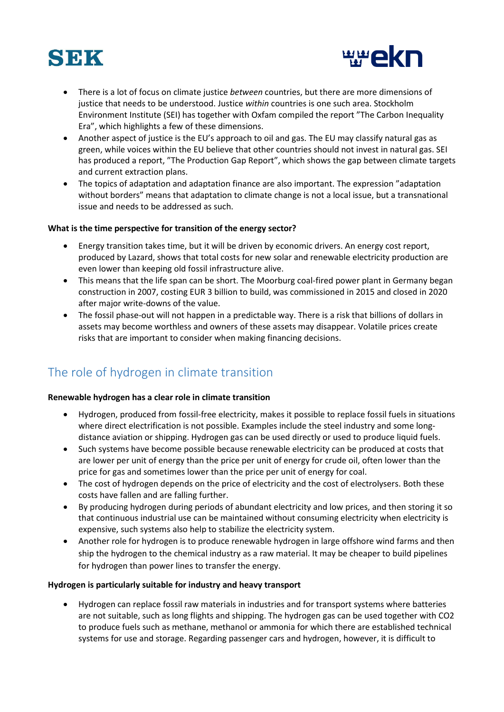



- There is a lot of focus on climate justice *between* countries, but there are more dimensions of justice that needs to be understood. Justice *within* countries is one such area. Stockholm Environment Institute (SEI) has together with Oxfam compiled the report "The Carbon Inequality Era", which highlights a few of these dimensions.
- Another aspect of justice is the EU's approach to oil and gas. The EU may classify natural gas as green, while voices within the EU believe that other countries should not invest in natural gas. SEI has produced a report, "The Production Gap Report", which shows the gap between climate targets and current extraction plans.
- The topics of adaptation and adaptation finance are also important. The expression "adaptation without borders" means that adaptation to climate change is not a local issue, but a transnational issue and needs to be addressed as such.

#### **What is the time perspective for transition of the energy sector?**

- Energy transition takes time, but it will be driven by economic drivers. An energy cost report, produced by Lazard, shows that total costs for new solar and renewable electricity production are even lower than keeping old fossil infrastructure alive.
- This means that the life span can be short. The Moorburg coal-fired power plant in Germany began construction in 2007, costing EUR 3 billion to build, was commissioned in 2015 and closed in 2020 after major write-downs of the value.
- The fossil phase-out will not happen in a predictable way. There is a risk that billions of dollars in assets may become worthless and owners of these assets may disappear. Volatile prices create risks that are important to consider when making financing decisions.

# The role of hydrogen in climate transition

#### **Renewable hydrogen has a clear role in climate transition**

- Hydrogen, produced from fossil-free electricity, makes it possible to replace fossil fuels in situations where direct electrification is not possible. Examples include the steel industry and some longdistance aviation or shipping. Hydrogen gas can be used directly or used to produce liquid fuels.
- Such systems have become possible because renewable electricity can be produced at costs that are lower per unit of energy than the price per unit of energy for crude oil, often lower than the price for gas and sometimes lower than the price per unit of energy for coal.
- The cost of hydrogen depends on the price of electricity and the cost of electrolysers. Both these costs have fallen and are falling further.
- By producing hydrogen during periods of abundant electricity and low prices, and then storing it so that continuous industrial use can be maintained without consuming electricity when electricity is expensive, such systems also help to stabilize the electricity system.
- Another role for hydrogen is to produce renewable hydrogen in large offshore wind farms and then ship the hydrogen to the chemical industry as a raw material. It may be cheaper to build pipelines for hydrogen than power lines to transfer the energy.

#### **Hydrogen is particularly suitable for industry and heavy transport**

• Hydrogen can replace fossil raw materials in industries and for transport systems where batteries are not suitable, such as long flights and shipping. The hydrogen gas can be used together with CO2 to produce fuels such as methane, methanol or ammonia for which there are established technical systems for use and storage. Regarding passenger cars and hydrogen, however, it is difficult to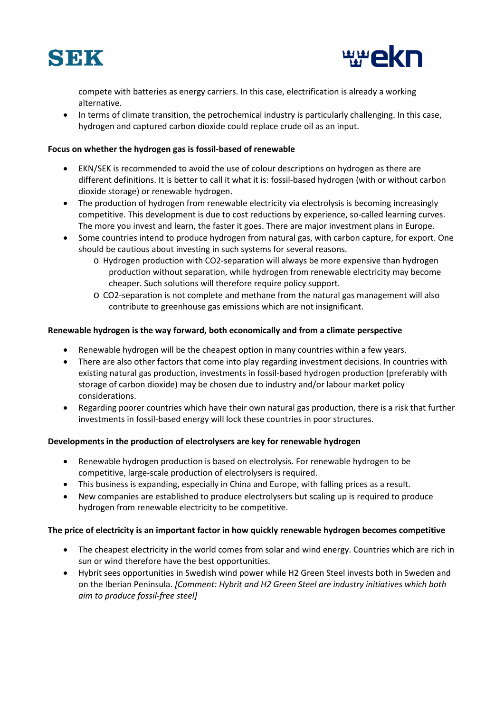



compete with batteries as energy carriers. In this case, electrification is already a working alternative.

• In terms of climate transition, the petrochemical industry is particularly challenging. In this case, hydrogen and captured carbon dioxide could replace crude oil as an input.

## **Focus on whether the hydrogen gas is fossil-based of renewable**

- EKN/SEK is recommended to avoid the use of colour descriptions on hydrogen as there are different definitions. It is better to call it what it is: fossil-based hydrogen (with or without carbon dioxide storage) or renewable hydrogen.
- The production of hydrogen from renewable electricity via electrolysis is becoming increasingly competitive. This development is due to cost reductions by experience, so-called learning curves. The more you invest and learn, the faster it goes. There are major investment plans in Europe.
- Some countries intend to produce hydrogen from natural gas, with carbon capture, for export. One should be cautious about investing in such systems for several reasons.
	- o Hydrogen production with CO2-separation will always be more expensive than hydrogen production without separation, while hydrogen from renewable electricity may become cheaper. Such solutions will therefore require policy support.
	- o CO2-separation is not complete and methane from the natural gas management will also contribute to greenhouse gas emissions which are not insignificant.

## **Renewable hydrogen is the way forward, both economically and from a climate perspective**

- Renewable hydrogen will be the cheapest option in many countries within a few years.
- There are also other factors that come into play regarding investment decisions. In countries with existing natural gas production, investments in fossil-based hydrogen production (preferably with storage of carbon dioxide) may be chosen due to industry and/or labour market policy considerations.
- Regarding poorer countries which have their own natural gas production, there is a risk that further investments in fossil-based energy will lock these countries in poor structures.

# **Developments in the production of electrolysers are key for renewable hydrogen**

- Renewable hydrogen production is based on electrolysis. For renewable hydrogen to be competitive, large-scale production of electrolysers is required.
- This business is expanding, especially in China and Europe, with falling prices as a result.
- New companies are established to produce electrolysers but scaling up is required to produce hydrogen from renewable electricity to be competitive.

#### **The price of electricity is an important factor in how quickly renewable hydrogen becomes competitive**

- The cheapest electricity in the world comes from solar and wind energy. Countries which are rich in sun or wind therefore have the best opportunities.
- Hybrit sees opportunities in Swedish wind power while H2 Green Steel invests both in Sweden and on the Iberian Peninsula. *[Comment: Hybrit and H2 Green Steel are industry initiatives which both aim to produce fossil-free steel]*